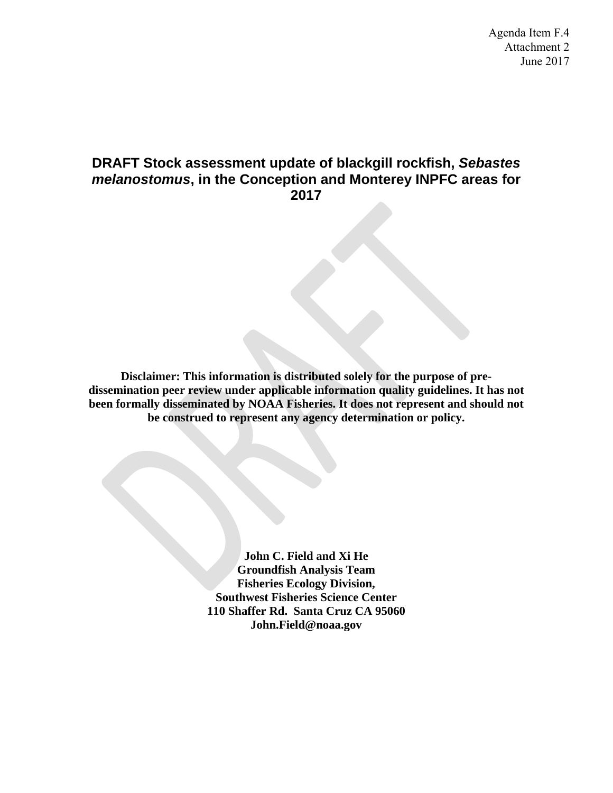#### **DRAFT Stock assessment update of blackgill rockfish,** *Sebastes melanostomus***, in the Conception and Monterey INPFC areas for 2017**

**Disclaimer: This information is distributed solely for the purpose of predissemination peer review under applicable information quality guidelines. It has not been formally disseminated by NOAA Fisheries. It does not represent and should not be construed to represent any agency determination or policy.** 

> **John C. Field and Xi He Groundfish Analysis Team Fisheries Ecology Division, Southwest Fisheries Science Center 110 Shaffer Rd. Santa Cruz CA 95060 John.Field@noaa.gov**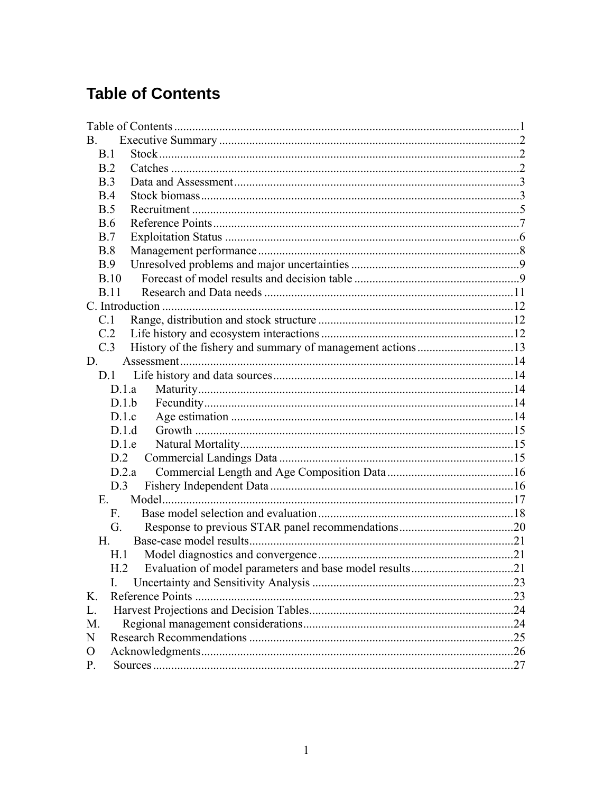# **Table of Contents**

| B           |  |
|-------------|--|
| B.1         |  |
| B.2         |  |
| B.3         |  |
| B.4         |  |
| B.5         |  |
| <b>B.6</b>  |  |
| B.7         |  |
| B.8         |  |
| B.9         |  |
| B.10        |  |
| <b>B.11</b> |  |
|             |  |
| C.1         |  |
| C.2         |  |
| C.3         |  |
| D.          |  |
| D.1         |  |
| D.1.a       |  |
| D.1.b       |  |
| D.1.c       |  |
| D.1.d       |  |
| D.1.e       |  |
| D.2         |  |
| D.2.a       |  |
| D.3         |  |
| $E_{\perp}$ |  |
| $F_{\cdot}$ |  |
| G.          |  |
| H.          |  |
| H.1         |  |
|             |  |
|             |  |
| K.          |  |
| L.          |  |
| M.          |  |
| N           |  |
| $\Omega$    |  |
| P.          |  |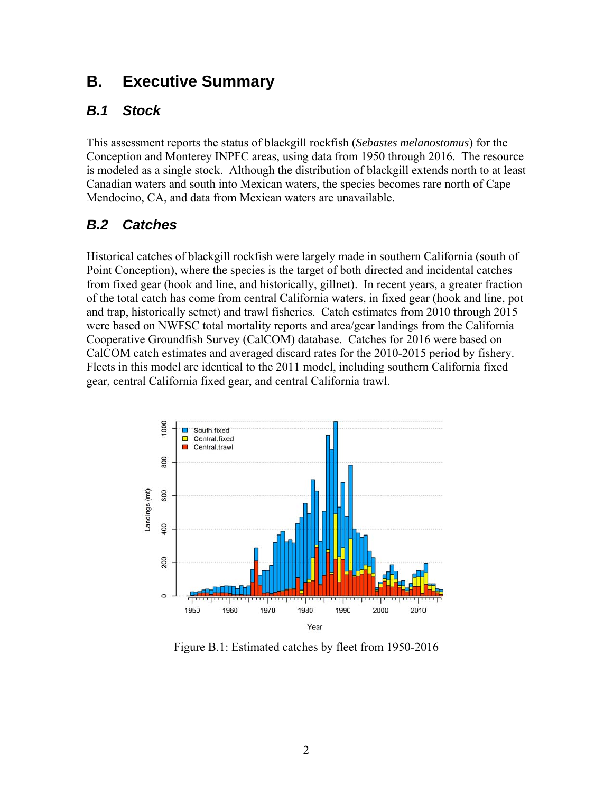# **B. Executive Summary**

## *B.1 Stock*

This assessment reports the status of blackgill rockfish (*Sebastes melanostomus*) for the Conception and Monterey INPFC areas, using data from 1950 through 2016. The resource is modeled as a single stock. Although the distribution of blackgill extends north to at least Canadian waters and south into Mexican waters, the species becomes rare north of Cape Mendocino, CA, and data from Mexican waters are unavailable.

## *B.2 Catches*

Historical catches of blackgill rockfish were largely made in southern California (south of Point Conception), where the species is the target of both directed and incidental catches from fixed gear (hook and line, and historically, gillnet). In recent years, a greater fraction of the total catch has come from central California waters, in fixed gear (hook and line, pot and trap, historically setnet) and trawl fisheries. Catch estimates from 2010 through 2015 were based on NWFSC total mortality reports and area/gear landings from the California Cooperative Groundfish Survey (CalCOM) database. Catches for 2016 were based on CalCOM catch estimates and averaged discard rates for the 2010-2015 period by fishery. Fleets in this model are identical to the 2011 model, including southern California fixed gear, central California fixed gear, and central California trawl.



Figure B.1: Estimated catches by fleet from 1950-2016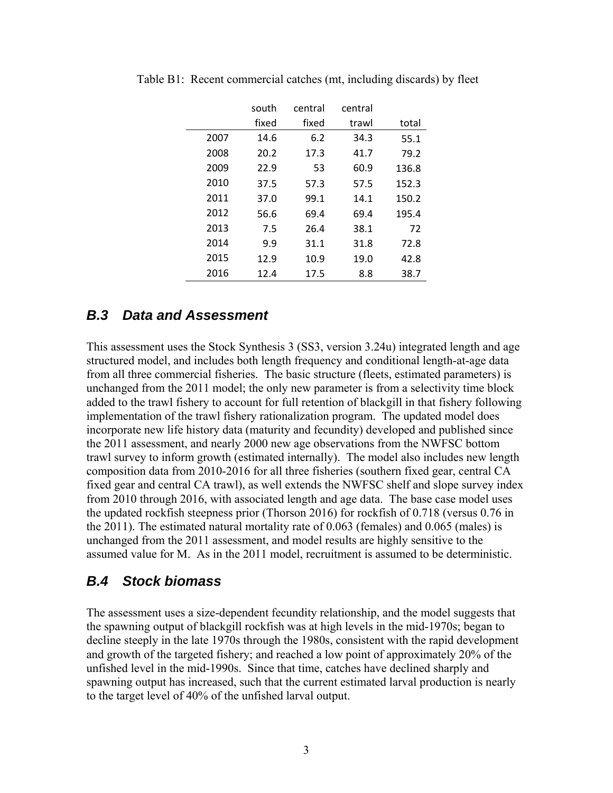|      | south | central | central |       |
|------|-------|---------|---------|-------|
|      | fixed | fixed   | trawl   | total |
| 2007 | 14.6  | 6.2     | 34.3    | 55.1  |
| 2008 | 20.2  | 17.3    | 41.7    | 79.2  |
| 2009 | 22.9  | 53      | 60.9    | 136.8 |
| 2010 | 37.5  | 57.3    | 57.5    | 152.3 |
| 2011 | 37.0  | 99.1    | 14.1    | 150.2 |
| 2012 | 56.6  | 69.4    | 69.4    | 195.4 |
| 2013 | 7.5   | 26.4    | 38.1    | 72    |
| 2014 | 9.9   | 31.1    | 31.8    | 72.8  |
| 2015 | 12.9  | 10.9    | 19.0    | 42.8  |
| 2016 | 12.4  | 17.5    | 8.8     | 38.7  |

Table B1: Recent commercial catches (mt, including discards) by fleet

#### *B.3 Data and Assessment*

This assessment uses the Stock Synthesis 3 (SS3, version 3.24u) integrated length and age structured model, and includes both length frequency and conditional length-at-age data from all three commercial fisheries. The basic structure (fleets, estimated parameters) is unchanged from the 2011 model; the only new parameter is from a selectivity time block added to the trawl fishery to account for full retention of blackgill in that fishery following implementation of the trawl fishery rationalization program. The updated model does incorporate new life history data (maturity and fecundity) developed and published since the 2011 assessment, and nearly 2000 new age observations from the NWFSC bottom trawl survey to inform growth (estimated internally). The model also includes new length composition data from 2010-2016 for all three fisheries (southern fixed gear, central CA fixed gear and central CA trawl), as well extends the NWFSC shelf and slope survey index from 2010 through 2016, with associated length and age data. The base case model uses the updated rockfish steepness prior (Thorson 2016) for rockfish of 0.718 (versus 0.76 in the 2011). The estimated natural mortality rate of 0.063 (females) and 0.065 (males) is unchanged from the 2011 assessment, and model results are highly sensitive to the assumed value for M. As in the 2011 model, recruitment is assumed to be deterministic.

#### *B.4 Stock biomass*

The assessment uses a size-dependent fecundity relationship, and the model suggests that the spawning output of blackgill rockfish was at high levels in the mid-1970s; began to decline steeply in the late 1970s through the 1980s, consistent with the rapid development and growth of the targeted fishery; and reached a low point of approximately 20% of the unfished level in the mid-1990s. Since that time, catches have declined sharply and spawning output has increased, such that the current estimated larval production is nearly to the target level of 40% of the unfished larval output.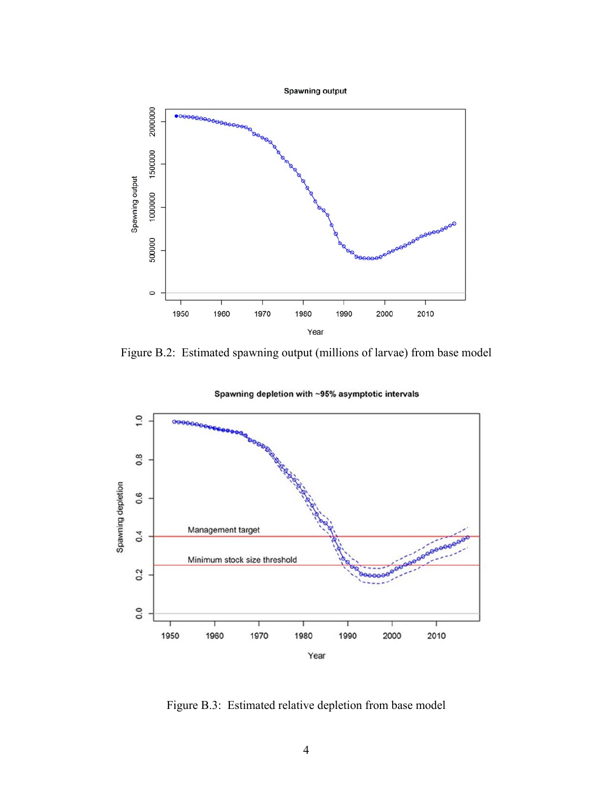

Figure B.2: Estimated spawning output (millions of larvae) from base model



Spawning depletion with ~95% asymptotic intervals

Figure B.3: Estimated relative depletion from base model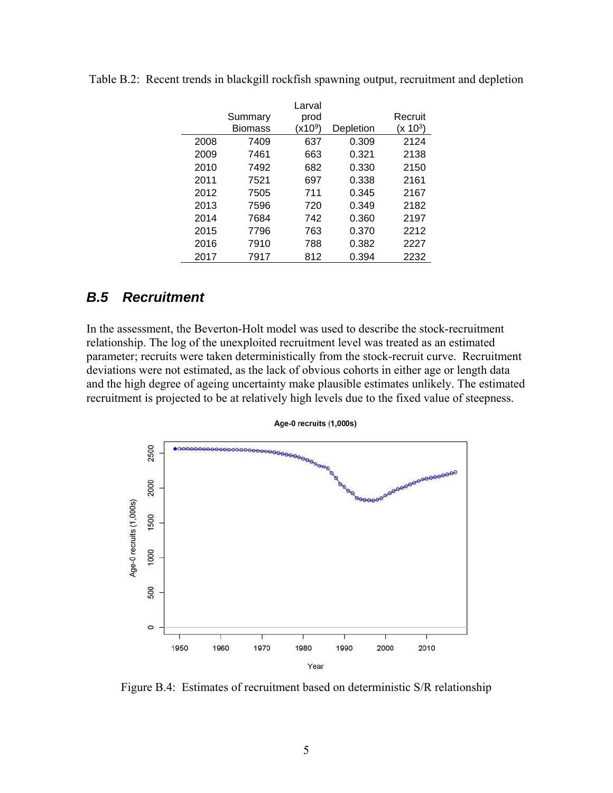|      |                | Larval    |           |            |
|------|----------------|-----------|-----------|------------|
|      | Summary        | prod      |           | Recruit    |
|      | <b>Biomass</b> | $(x10^9)$ | Depletion | $(x 10^3)$ |
| 2008 | 7409           | 637       | 0.309     | 2124       |
| 2009 | 7461           | 663       | 0.321     | 2138       |
| 2010 | 7492           | 682       | 0.330     | 2150       |
| 2011 | 7521           | 697       | 0.338     | 2161       |
| 2012 | 7505           | 711       | 0.345     | 2167       |
| 2013 | 7596           | 720       | 0.349     | 2182       |
| 2014 | 7684           | 742       | 0.360     | 2197       |
| 2015 | 7796           | 763       | 0.370     | 2212       |
| 2016 | 7910           | 788       | 0.382     | 2227       |
| 2017 | 7917           | 812       | 0.394     | 2232       |
|      |                |           |           |            |

Table B.2: Recent trends in blackgill rockfish spawning output, recruitment and depletion

#### *B.5 Recruitment*

In the assessment, the Beverton-Holt model was used to describe the stock-recruitment relationship. The log of the unexploited recruitment level was treated as an estimated parameter; recruits were taken deterministically from the stock-recruit curve. Recruitment deviations were not estimated, as the lack of obvious cohorts in either age or length data and the high degree of ageing uncertainty make plausible estimates unlikely. The estimated recruitment is projected to be at relatively high levels due to the fixed value of steepness.



Age-0 recruits (1,000s)

Figure B.4: Estimates of recruitment based on deterministic S/R relationship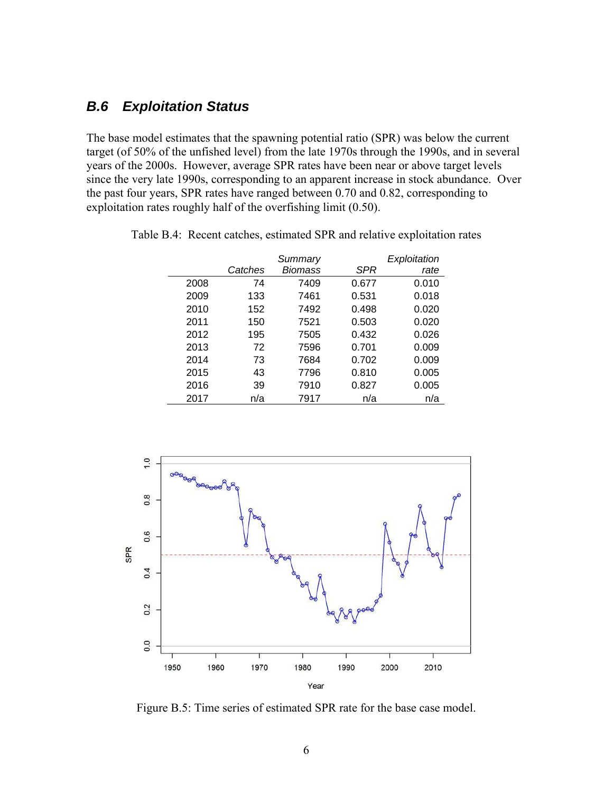### *B.6 Exploitation Status*

The base model estimates that the spawning potential ratio (SPR) was below the current target (of 50% of the unfished level) from the late 1970s through the 1990s, and in several years of the 2000s. However, average SPR rates have been near or above target levels since the very late 1990s, corresponding to an apparent increase in stock abundance. Over the past four years, SPR rates have ranged between 0.70 and 0.82, corresponding to exploitation rates roughly half of the overfishing limit (0.50).

|      |         | Summary |            | Exploitation |
|------|---------|---------|------------|--------------|
|      | Catches | Biomass | <b>SPR</b> | rate         |
| 2008 | 74      | 7409    | 0.677      | 0.010        |
| 2009 | 133     | 7461    | 0.531      | 0.018        |
| 2010 | 152     | 7492    | 0.498      | 0.020        |
| 2011 | 150     | 7521    | 0.503      | 0.020        |
| 2012 | 195     | 7505    | 0.432      | 0.026        |
| 2013 | 72      | 7596    | 0.701      | 0.009        |
| 2014 | 73      | 7684    | 0.702      | 0.009        |
| 2015 | 43      | 7796    | 0.810      | 0.005        |
| 2016 | 39      | 7910    | 0.827      | 0.005        |
| 2017 | n/a     | 7917    | n/a        | n/a          |

Table B.4: Recent catches, estimated SPR and relative exploitation rates



Figure B.5: Time series of estimated SPR rate for the base case model.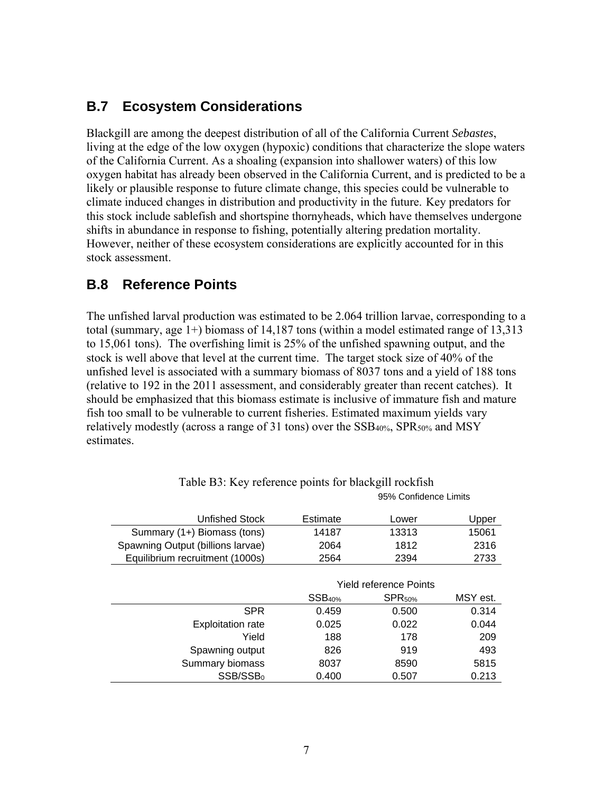## **B.7 Ecosystem Considerations**

Blackgill are among the deepest distribution of all of the California Current *Sebastes*, living at the edge of the low oxygen (hypoxic) conditions that characterize the slope waters of the California Current. As a shoaling (expansion into shallower waters) of this low oxygen habitat has already been observed in the California Current, and is predicted to be a likely or plausible response to future climate change, this species could be vulnerable to climate induced changes in distribution and productivity in the future. Key predators for this stock include sablefish and shortspine thornyheads, which have themselves undergone shifts in abundance in response to fishing, potentially altering predation mortality. However, neither of these ecosystem considerations are explicitly accounted for in this stock assessment.

### **B.8 Reference Points**

The unfished larval production was estimated to be 2.064 trillion larvae, corresponding to a total (summary, age 1+) biomass of 14,187 tons (within a model estimated range of 13,313 to 15,061 tons). The overfishing limit is 25% of the unfished spawning output, and the stock is well above that level at the current time. The target stock size of 40% of the unfished level is associated with a summary biomass of 8037 tons and a yield of 188 tons (relative to 192 in the 2011 assessment, and considerably greater than recent catches). It should be emphasized that this biomass estimate is inclusive of immature fish and mature fish too small to be vulnerable to current fisheries. Estimated maximum yields vary relatively modestly (across a range of 31 tons) over the SSB40%, SPR50% and MSY estimates.

| Unfished Stock                    | Estimate           | Lower                         | Upper    |
|-----------------------------------|--------------------|-------------------------------|----------|
| Summary (1+) Biomass (tons)       | 14187              | 13313                         | 15061    |
| Spawning Output (billions larvae) | 2064               | 1812                          | 2316     |
| Equilibrium recruitment (1000s)   | 2564               | 2394                          | 2733     |
|                                   |                    |                               |          |
|                                   |                    | <b>Yield reference Points</b> |          |
|                                   | SSB <sub>40%</sub> | SPR <sub>50%</sub>            | MSY est. |
| <b>SPR</b>                        | 0.459              | 0.500                         | 0.314    |
| <b>Exploitation rate</b>          | 0.025              | 0.022                         | 0.044    |
| Yield                             | 188                | 178                           | 209      |
| Spawning output                   | 826                | 919                           | 493      |
| Summary biomass                   | 8037               | 8590                          | 5815     |
| SSB/SSB <sub>0</sub>              | 0.400              | 0.507                         | 0.213    |

| Table B3: Key reference points for blackgill rockfish |  |
|-------------------------------------------------------|--|
| 95% Confidence L                                      |  |

imits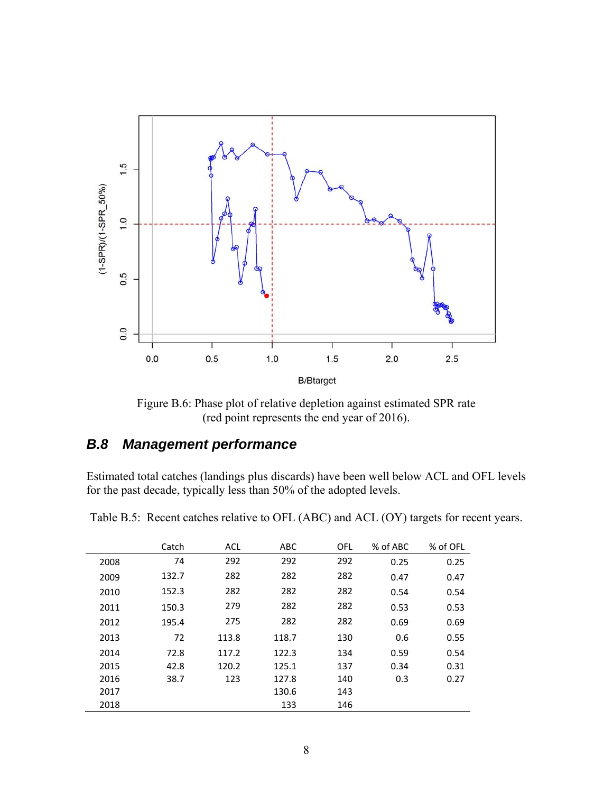

Figure B.6: Phase plot of relative depletion against estimated SPR rate (red point represents the end year of 2016).

#### *B.8 Management performance*

Estimated total catches (landings plus discards) have been well below ACL and OFL levels for the past decade, typically less than 50% of the adopted levels.

|      | Catch | <b>ACL</b> | <b>ABC</b> | <b>OFL</b> | % of ABC | % of OFL |
|------|-------|------------|------------|------------|----------|----------|
| 2008 | 74    | 292        | 292        | 292        | 0.25     | 0.25     |
| 2009 | 132.7 | 282        | 282        | 282        | 0.47     | 0.47     |
| 2010 | 152.3 | 282        | 282        | 282        | 0.54     | 0.54     |
| 2011 | 150.3 | 279        | 282        | 282        | 0.53     | 0.53     |
| 2012 | 195.4 | 275        | 282        | 282        | 0.69     | 0.69     |
| 2013 | 72    | 113.8      | 118.7      | 130        | 0.6      | 0.55     |
| 2014 | 72.8  | 117.2      | 122.3      | 134        | 0.59     | 0.54     |
| 2015 | 42.8  | 120.2      | 125.1      | 137        | 0.34     | 0.31     |
| 2016 | 38.7  | 123        | 127.8      | 140        | 0.3      | 0.27     |
| 2017 |       |            | 130.6      | 143        |          |          |
| 2018 |       |            | 133        | 146        |          |          |

Table B.5: Recent catches relative to OFL (ABC) and ACL (OY) targets for recent years.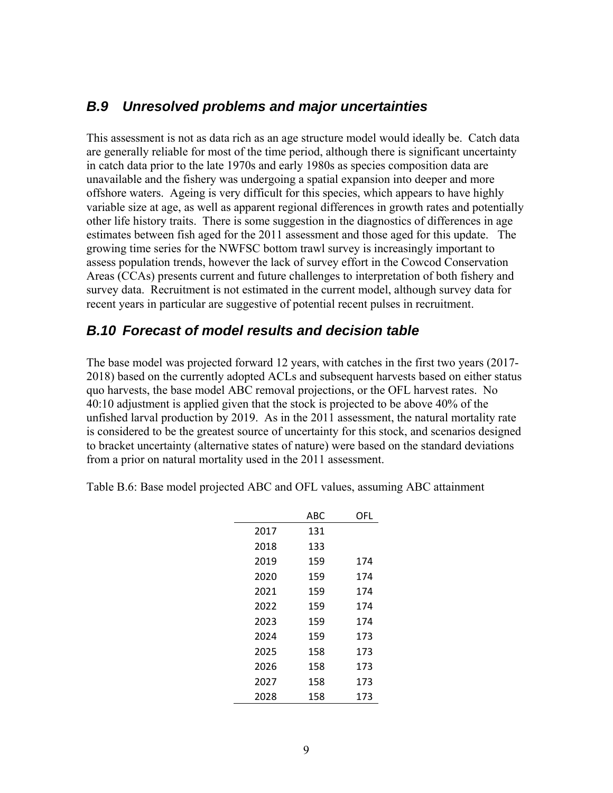#### *B.9 Unresolved problems and major uncertainties*

This assessment is not as data rich as an age structure model would ideally be. Catch data are generally reliable for most of the time period, although there is significant uncertainty in catch data prior to the late 1970s and early 1980s as species composition data are unavailable and the fishery was undergoing a spatial expansion into deeper and more offshore waters. Ageing is very difficult for this species, which appears to have highly variable size at age, as well as apparent regional differences in growth rates and potentially other life history traits. There is some suggestion in the diagnostics of differences in age estimates between fish aged for the 2011 assessment and those aged for this update. The growing time series for the NWFSC bottom trawl survey is increasingly important to assess population trends, however the lack of survey effort in the Cowcod Conservation Areas (CCAs) presents current and future challenges to interpretation of both fishery and survey data. Recruitment is not estimated in the current model, although survey data for recent years in particular are suggestive of potential recent pulses in recruitment.

#### *B.10 Forecast of model results and decision table*

The base model was projected forward 12 years, with catches in the first two years (2017- 2018) based on the currently adopted ACLs and subsequent harvests based on either status quo harvests, the base model ABC removal projections, or the OFL harvest rates. No 40:10 adjustment is applied given that the stock is projected to be above 40% of the unfished larval production by 2019. As in the 2011 assessment, the natural mortality rate is considered to be the greatest source of uncertainty for this stock, and scenarios designed to bracket uncertainty (alternative states of nature) were based on the standard deviations from a prior on natural mortality used in the 2011 assessment.

Table B.6: Base model projected ABC and OFL values, assuming ABC attainment

|      | ABC | OFL |
|------|-----|-----|
| 2017 | 131 |     |
| 2018 | 133 |     |
| 2019 | 159 | 174 |
| 2020 | 159 | 174 |
| 2021 | 159 | 174 |
| 2022 | 159 | 174 |
| 2023 | 159 | 174 |
| 2024 | 159 | 173 |
| 2025 | 158 | 173 |
| 2026 | 158 | 173 |
| 2027 | 158 | 173 |
| 2028 | 158 | 173 |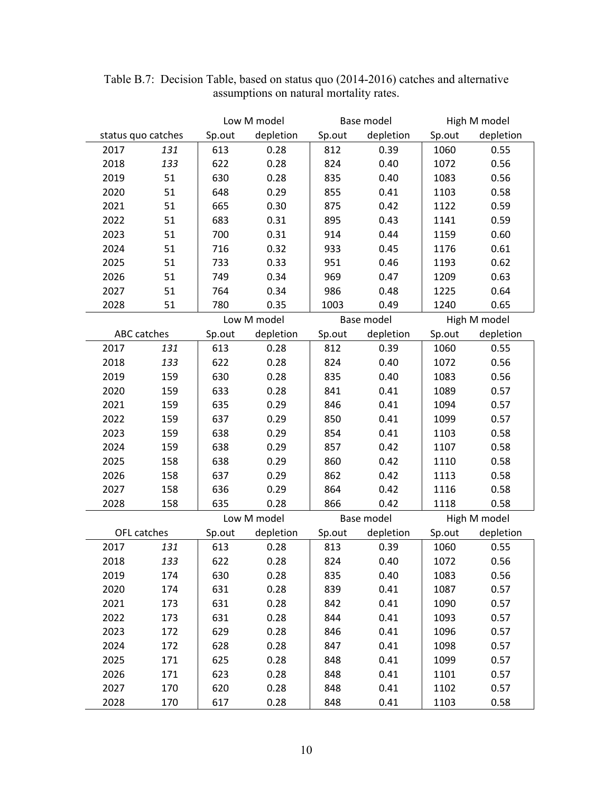|                    | Low M model |        | Base model  |        | High M model |        |              |
|--------------------|-------------|--------|-------------|--------|--------------|--------|--------------|
| status quo catches |             | Sp.out | depletion   | Sp.out | depletion    | Sp.out | depletion    |
| 2017               | 131         | 613    | 0.28        | 812    | 0.39         | 1060   | 0.55         |
| 2018               | 133         | 622    | 0.28        | 824    | 0.40         | 1072   | 0.56         |
| 2019               | 51          | 630    | 0.28        | 835    | 0.40         | 1083   | 0.56         |
| 2020               | 51          | 648    | 0.29        | 855    | 0.41         | 1103   | 0.58         |
| 2021               | 51          | 665    | 0.30        | 875    | 0.42         | 1122   | 0.59         |
| 2022               | 51          | 683    | 0.31        | 895    | 0.43         | 1141   | 0.59         |
| 2023               | 51          | 700    | 0.31        | 914    | 0.44         | 1159   | 0.60         |
| 2024               | 51          | 716    | 0.32        | 933    | 0.45         | 1176   | 0.61         |
| 2025               | 51          | 733    | 0.33        | 951    | 0.46         | 1193   | 0.62         |
| 2026               | 51          | 749    | 0.34        | 969    | 0.47         | 1209   | 0.63         |
| 2027               | 51          | 764    | 0.34        | 986    | 0.48         | 1225   | 0.64         |
| 2028               | 51          | 780    | 0.35        | 1003   | 0.49         | 1240   | 0.65         |
|                    |             |        | Low M model |        | Base model   |        | High M model |
| ABC catches        |             | Sp.out | depletion   | Sp.out | depletion    | Sp.out | depletion    |
| 2017               | 131         | 613    | 0.28        | 812    | 0.39         | 1060   | 0.55         |
| 2018               | 133         | 622    | 0.28        | 824    | 0.40         | 1072   | 0.56         |
| 2019               | 159         | 630    | 0.28        | 835    | 0.40         | 1083   | 0.56         |
| 2020               | 159         | 633    | 0.28        | 841    | 0.41         | 1089   | 0.57         |
| 2021               | 159         | 635    | 0.29        | 846    | 0.41         | 1094   | 0.57         |
| 2022               | 159         | 637    | 0.29        | 850    | 0.41         | 1099   | 0.57         |
| 2023               | 159         | 638    | 0.29        | 854    | 0.41         | 1103   | 0.58         |
| 2024               | 159         | 638    | 0.29        | 857    | 0.42         | 1107   | 0.58         |
| 2025               | 158         | 638    | 0.29        | 860    | 0.42         | 1110   | 0.58         |
| 2026               | 158         | 637    | 0.29        | 862    | 0.42         | 1113   | 0.58         |
| 2027               | 158         | 636    | 0.29        | 864    | 0.42         | 1116   | 0.58         |
| 2028               | 158         | 635    | 0.28        | 866    | 0.42         | 1118   | 0.58         |
|                    |             |        | Low M model |        | Base model   |        | High M model |
| OFL catches        |             | Sp.out | depletion   | Sp.out | depletion    | Sp.out | depletion    |
| 2017               | 131         | 613    | 0.28        | 813    | 0.39         | 1060   | 0.55         |
| 2018               | 133         | 622    | 0.28        | 824    | 0.40         | 1072   | 0.56         |
| 2019               | 174         | 630    | 0.28        | 835    | 0.40         | 1083   | 0.56         |
| 2020               | 174         | 631    | 0.28        | 839    | 0.41         | 1087   | 0.57         |
| 2021               | 173         | 631    | 0.28        | 842    | 0.41         | 1090   | 0.57         |
| 2022               | 173         | 631    | 0.28        | 844    | 0.41         | 1093   | 0.57         |
| 2023               | 172         | 629    | 0.28        | 846    | 0.41         | 1096   | 0.57         |
| 2024               | 172         | 628    | 0.28        | 847    | 0.41         | 1098   | 0.57         |
| 2025               | 171         | 625    | 0.28        | 848    | 0.41         | 1099   | 0.57         |
| 2026               | 171         | 623    | 0.28        | 848    | 0.41         | 1101   | 0.57         |
| 2027               | 170         | 620    | 0.28        | 848    | 0.41         | 1102   | 0.57         |
| 2028               | 170         | 617    | 0.28        | 848    | 0.41         | 1103   | 0.58         |

Table B.7: Decision Table, based on status quo (2014-2016) catches and alternative assumptions on natural mortality rates.